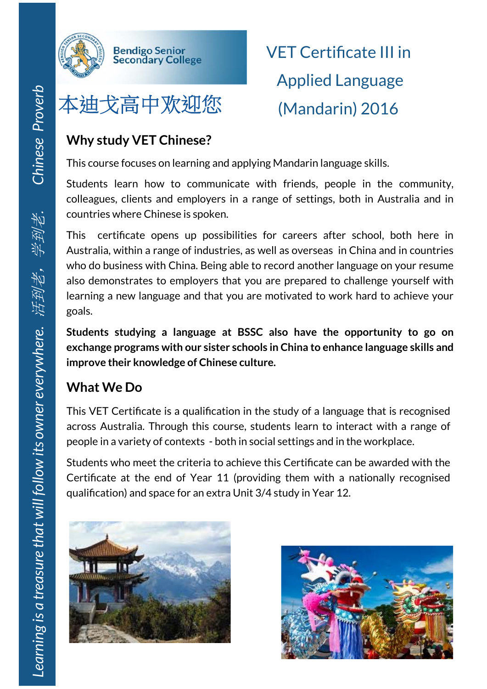

## 本迪戈高中欢迎您 (Mandarin) 2016

**Bendigo Senior<br>Secondary College** 

VET Certificate III in Applied Language

## **Why study VET Chinese?**

This course focuses on learning and applying Mandarin language skills.

Students learn how to communicate with friends, people in the community, colleagues, clients and employers in a range of settings, both in Australia and in countries where Chinese is spoken.

This certificate opens up possibilities for careers after school, both here in Australia, within a range of industries, as well as overseas in China and in countries who do business with China. Being able to record another language on your resume also demonstrates to employers that you are prepared to challenge yourself with learning a new language and that you are motivated to work hard to achieve your goals.

**Students studying a language at BSSC also have the opportunity to go on exchange programs with our sister schools in China to enhance language skills and improve their knowledge of Chinese culture.** 

## **What We Do**

This VET Certificate is a qualification in the study of a language that is recognised across Australia. Through this course, students learn to interact with a range of people in a variety of contexts - both in social settings and in the workplace.

Students who meet the criteria to achieve this Certificate can be awarded with the Certificate at the end of Year 11 (providing them with a nationally recognised qualification) and space for an extra Unit 3/4 study in Year 12.